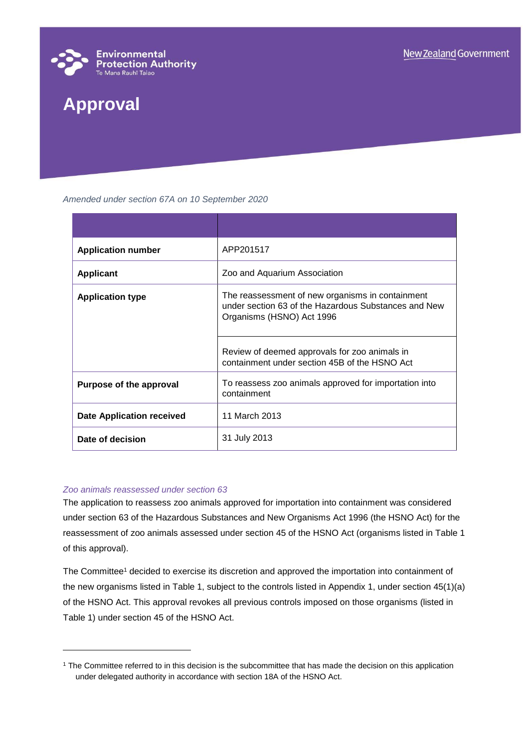

# **Approval**

*Amended under section 67A on 10 September 2020*

| <b>Application number</b>        | APP201517                                                                                                                             |
|----------------------------------|---------------------------------------------------------------------------------------------------------------------------------------|
| <b>Applicant</b>                 | Zoo and Aquarium Association                                                                                                          |
| <b>Application type</b>          | The reassessment of new organisms in containment<br>under section 63 of the Hazardous Substances and New<br>Organisms (HSNO) Act 1996 |
|                                  | Review of deemed approvals for zoo animals in<br>containment under section 45B of the HSNO Act                                        |
| Purpose of the approval          | To reassess zoo animals approved for importation into<br>containment                                                                  |
| <b>Date Application received</b> | 11 March 2013                                                                                                                         |
| Date of decision                 | 31 July 2013                                                                                                                          |

#### *Zoo animals reassessed under section 63*

l

The application to reassess zoo animals approved for importation into containment was considered under section 63 of the Hazardous Substances and New Organisms Act 1996 (the HSNO Act) for the reassessment of zoo animals assessed under section 45 of the HSNO Act (organisms listed in Table 1 of this approval).

The Committee<sup>1</sup> decided to exercise its discretion and approved the importation into containment of the new organisms listed in Table 1, subject to the controls listed in Appendix 1, under section 45(1)(a) of the HSNO Act. This approval revokes all previous controls imposed on those organisms (listed in Table 1) under section 45 of the HSNO Act.

<sup>1</sup> The Committee referred to in this decision is the subcommittee that has made the decision on this application under delegated authority in accordance with section 18A of the HSNO Act.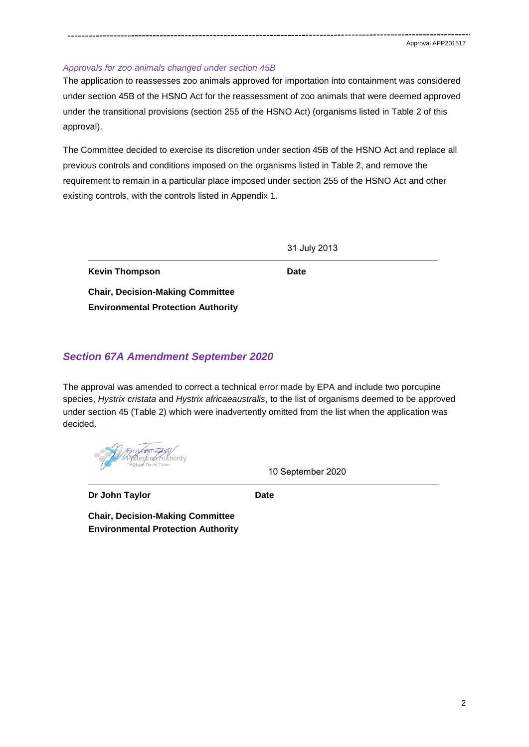#### *Approvals for zoo animals changed under section 45B*

The application to reassesses zoo animals approved for importation into containment was considered under section 45B of the HSNO Act for the reassessment of zoo animals that were deemed approved under the transitional provisions (section 255 of the HSNO Act) (organisms listed in Table 2 of this approval).

The Committee decided to exercise its discretion under section 45B of the HSNO Act and replace all previous controls and conditions imposed on the organisms listed in Table 2, and remove the requirement to remain in a particular place imposed under section 255 of the HSNO Act and other existing controls, with the controls listed in Appendix 1.

|  | 31 July 2013 |
|--|--------------|
|--|--------------|

**Kevin Thompson Date** 

**Chair, Decision-Making Committee Environmental Protection Authority**

## *Section 67A Amendment September 2020*

The approval was amended to correct a technical error made by EPA and include two porcupine species, *Hystrix cristata* and *Hystrix africaeaustralis*, to the list of organisms deemed to be approved under section 45 (Table 2) which were inadvertently omitted from the list when the application was decided.

10 September 2020

**Dr John Taylor Date**

**Chair, Decision-Making Committee Environmental Protection Authority**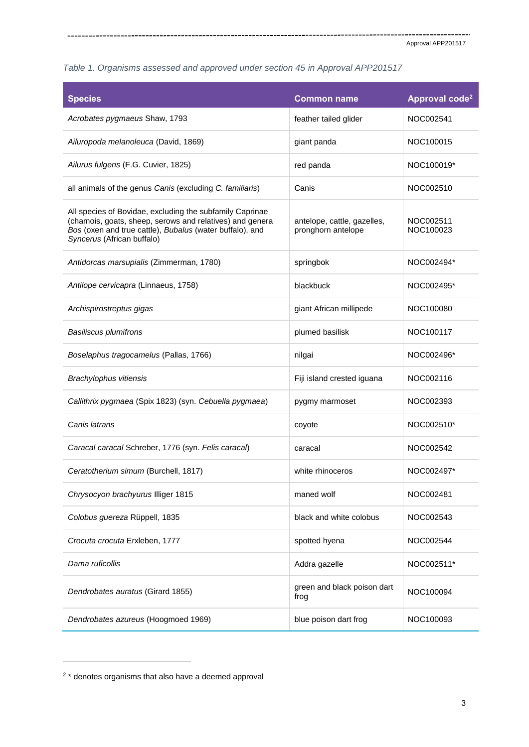## *Table 1. Organisms assessed and approved under section 45 in Approval APP201517*

| <b>Species</b>                                                                                                                                                                                                 | <b>Common name</b>                                | Approval code <sup>2</sup> |
|----------------------------------------------------------------------------------------------------------------------------------------------------------------------------------------------------------------|---------------------------------------------------|----------------------------|
| Acrobates pygmaeus Shaw, 1793                                                                                                                                                                                  | feather tailed glider                             | NOC002541                  |
| Ailuropoda melanoleuca (David, 1869)                                                                                                                                                                           | giant panda                                       | NOC100015                  |
| Ailurus fulgens (F.G. Cuvier, 1825)                                                                                                                                                                            | red panda                                         | NOC100019*                 |
| all animals of the genus Canis (excluding C. familiaris)                                                                                                                                                       | Canis                                             | NOC002510                  |
| All species of Bovidae, excluding the subfamily Caprinae<br>(chamois, goats, sheep, serows and relatives) and genera<br>Bos (oxen and true cattle), Bubalus (water buffalo), and<br>Syncerus (African buffalo) | antelope, cattle, gazelles,<br>pronghorn antelope | NOC002511<br>NOC100023     |
| Antidorcas marsupialis (Zimmerman, 1780)                                                                                                                                                                       | springbok                                         | NOC002494*                 |
| Antilope cervicapra (Linnaeus, 1758)                                                                                                                                                                           | blackbuck                                         | NOC002495*                 |
| Archispirostreptus gigas                                                                                                                                                                                       | giant African millipede                           | NOC100080                  |
| <b>Basiliscus plumifrons</b>                                                                                                                                                                                   | plumed basilisk                                   | NOC100117                  |
| Boselaphus tragocamelus (Pallas, 1766)                                                                                                                                                                         | nilgai                                            | NOC002496*                 |
| Brachylophus vitiensis                                                                                                                                                                                         | Fiji island crested iguana                        | NOC002116                  |
| Callithrix pygmaea (Spix 1823) (syn. Cebuella pygmaea)                                                                                                                                                         | pygmy marmoset                                    | NOC002393                  |
| Canis latrans                                                                                                                                                                                                  | coyote                                            | NOC002510*                 |
| Caracal caracal Schreber, 1776 (syn. Felis caracal)                                                                                                                                                            | caracal                                           | NOC002542                  |
| Ceratotherium simum (Burchell, 1817)                                                                                                                                                                           | white rhinoceros                                  | NOC002497*                 |
| Chrysocyon brachyurus Illiger 1815                                                                                                                                                                             | maned wolf                                        | NOC002481                  |
| Colobus guereza Rüppell, 1835                                                                                                                                                                                  | black and white colobus                           | NOC002543                  |
| Crocuta crocuta Erxleben, 1777                                                                                                                                                                                 | spotted hyena                                     | NOC002544                  |
| Dama ruficollis                                                                                                                                                                                                | Addra gazelle                                     | NOC002511*                 |
| Dendrobates auratus (Girard 1855)                                                                                                                                                                              | green and black poison dart<br>frog               | NOC100094                  |
| Dendrobates azureus (Hoogmoed 1969)                                                                                                                                                                            | blue poison dart frog                             | NOC100093                  |

l

 $\sim$   $\sim$ 

 $2 *$  denotes organisms that also have a deemed approval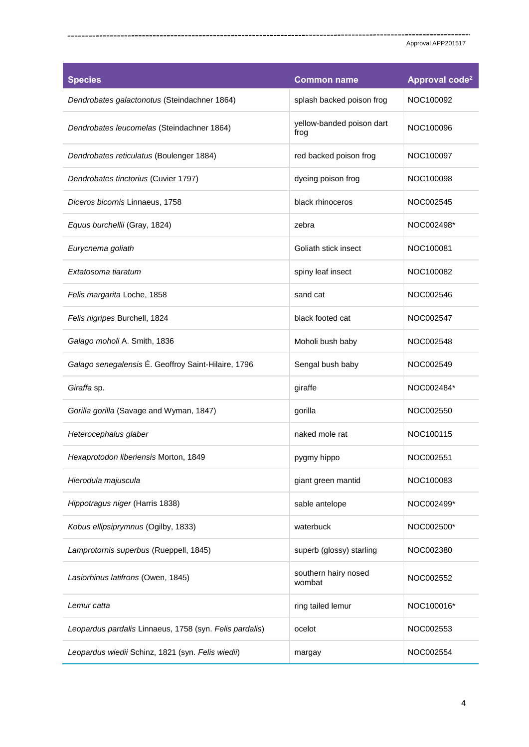| <b>Species</b>                                          | <b>Common name</b>                | Approval code <sup>2</sup> |
|---------------------------------------------------------|-----------------------------------|----------------------------|
| Dendrobates galactonotus (Steindachner 1864)            | splash backed poison frog         | NOC100092                  |
| Dendrobates leucomelas (Steindachner 1864)              | yellow-banded poison dart<br>frog | NOC100096                  |
| Dendrobates reticulatus (Boulenger 1884)                | red backed poison frog            | NOC100097                  |
| Dendrobates tinctorius (Cuvier 1797)                    | dyeing poison frog                | NOC100098                  |
| Diceros bicornis Linnaeus, 1758                         | black rhinoceros                  | NOC002545                  |
| Equus burchellii (Gray, 1824)                           | zebra                             | NOC002498*                 |
| Eurycnema goliath                                       | Goliath stick insect              | NOC100081                  |
| Extatosoma tiaratum                                     | spiny leaf insect                 | NOC100082                  |
| Felis margarita Loche, 1858                             | sand cat                          | NOC002546                  |
| Felis nigripes Burchell, 1824                           | black footed cat                  | NOC002547                  |
| Galago moholi A. Smith, 1836                            | Moholi bush baby                  | NOC002548                  |
| Galago senegalensis É. Geoffroy Saint-Hilaire, 1796     | Sengal bush baby                  | NOC002549                  |
| Giraffa sp.                                             | giraffe                           | NOC002484*                 |
| Gorilla gorilla (Savage and Wyman, 1847)                | gorilla                           | NOC002550                  |
| Heterocephalus glaber                                   | naked mole rat                    | NOC100115                  |
| Hexaprotodon liberiensis Morton, 1849                   | pygmy hippo                       | NOC002551                  |
| Hierodula majuscula                                     | giant green mantid                | NOC100083                  |
| Hippotragus niger (Harris 1838)                         | sable antelope                    | NOC002499*                 |
| Kobus ellipsiprymnus (Ogilby, 1833)                     | waterbuck                         | NOC002500*                 |
| Lamprotornis superbus (Rueppell, 1845)                  | superb (glossy) starling          | NOC002380                  |
| Lasiorhinus latifrons (Owen, 1845)                      | southern hairy nosed<br>wombat    | NOC002552                  |
| Lemur catta                                             | ring tailed lemur                 | NOC100016*                 |
| Leopardus pardalis Linnaeus, 1758 (syn. Felis pardalis) | ocelot                            | NOC002553                  |
| Leopardus wiedii Schinz, 1821 (syn. Felis wiedii)       | margay                            | NOC002554                  |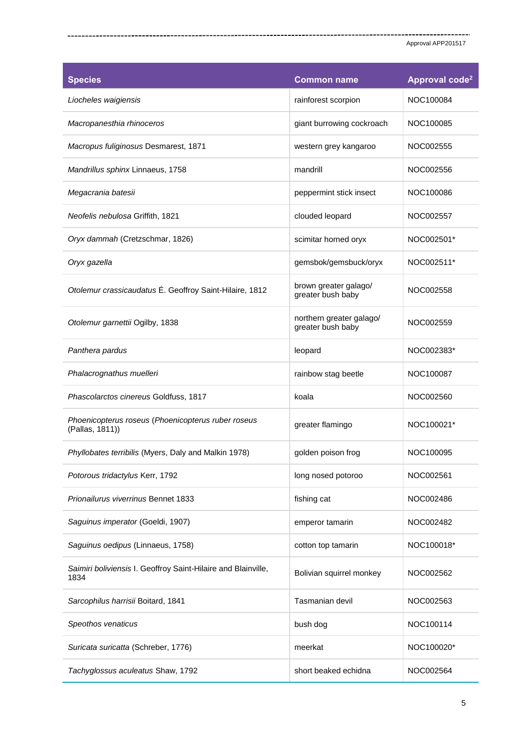| <b>Species</b>                                                        | <b>Common name</b>                            | Approval code <sup>2</sup> |
|-----------------------------------------------------------------------|-----------------------------------------------|----------------------------|
| Liocheles waigiensis                                                  | rainforest scorpion                           | NOC100084                  |
| Macropanesthia rhinoceros                                             | giant burrowing cockroach                     | NOC100085                  |
| Macropus fuliginosus Desmarest, 1871                                  | western grey kangaroo                         | NOC002555                  |
| Mandrillus sphinx Linnaeus, 1758                                      | mandrill                                      | NOC002556                  |
| Megacrania batesii                                                    | peppermint stick insect                       | NOC100086                  |
| Neofelis nebulosa Griffith, 1821                                      | clouded leopard                               | NOC002557                  |
| Oryx dammah (Cretzschmar, 1826)                                       | scimitar horned oryx                          | NOC002501*                 |
| Oryx gazella                                                          | gemsbok/gemsbuck/oryx                         | NOC002511*                 |
| Otolemur crassicaudatus É. Geoffroy Saint-Hilaire, 1812               | brown greater galago/<br>greater bush baby    | NOC002558                  |
| Otolemur garnettii Ogilby, 1838                                       | northern greater galago/<br>greater bush baby | NOC002559                  |
| Panthera pardus                                                       | leopard                                       | NOC002383*                 |
| Phalacrognathus muelleri                                              | rainbow stag beetle                           | NOC100087                  |
| Phascolarctos cinereus Goldfuss, 1817                                 | koala                                         | NOC002560                  |
| Phoenicopterus roseus (Phoenicopterus ruber roseus<br>(Pallas, 1811)) | greater flamingo                              | NOC100021*                 |
| Phyllobates terribilis (Myers, Daly and Malkin 1978)                  | golden poison frog                            | NOC100095                  |
| Potorous tridactylus Kerr, 1792                                       | long nosed potoroo                            | NOC002561                  |
| Prionailurus viverrinus Bennet 1833                                   | fishing cat                                   | NOC002486                  |
| Saguinus imperator (Goeldi, 1907)                                     | emperor tamarin                               | NOC002482                  |
| Saguinus oedipus (Linnaeus, 1758)                                     | cotton top tamarin                            | NOC100018*                 |
| Saimiri boliviensis I. Geoffroy Saint-Hilaire and Blainville,<br>1834 | Bolivian squirrel monkey                      | NOC002562                  |
| Sarcophilus harrisii Boitard, 1841                                    | Tasmanian devil                               | NOC002563                  |
| Speothos venaticus                                                    | bush dog                                      | NOC100114                  |
| Suricata suricatta (Schreber, 1776)                                   | meerkat                                       | NOC100020*                 |
| Tachyglossus aculeatus Shaw, 1792                                     | short beaked echidna                          | NOC002564                  |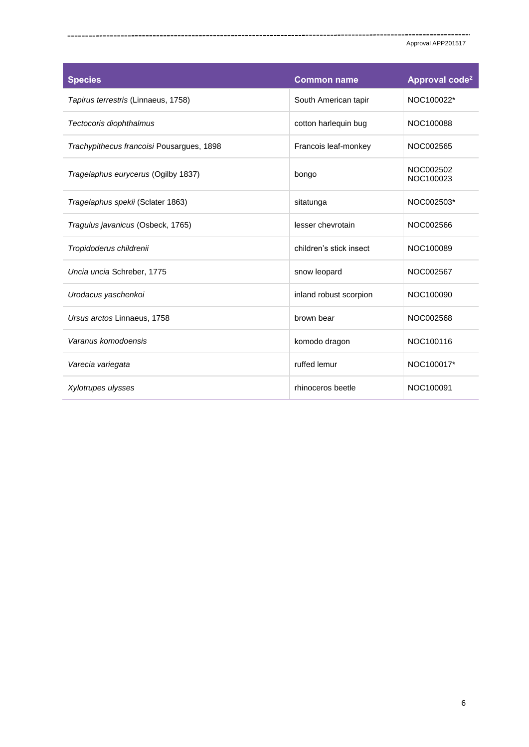| <b>Species</b>                            | <b>Common name</b>      | Approval code <sup>2</sup> |
|-------------------------------------------|-------------------------|----------------------------|
| Tapirus terrestris (Linnaeus, 1758)       | South American tapir    | NOC100022*                 |
| Tectocoris diophthalmus                   | cotton harlequin bug    | NOC100088                  |
| Trachypithecus francoisi Pousargues, 1898 | Francois leaf-monkey    | NOC002565                  |
| Tragelaphus eurycerus (Ogilby 1837)       | bongo                   | NOC002502<br>NOC100023     |
| Tragelaphus spekii (Sclater 1863)         | sitatunga               | NOC002503*                 |
| Tragulus javanicus (Osbeck, 1765)         | lesser chevrotain       | NOC002566                  |
| Tropidoderus childrenii                   | children's stick insect | NOC100089                  |
| Uncia uncia Schreber, 1775                | snow leopard            | NOC002567                  |
| Urodacus yaschenkoi                       | inland robust scorpion  | NOC100090                  |
| Ursus arctos Linnaeus, 1758               | brown bear              | NOC002568                  |
| Varanus komodoensis                       | komodo dragon           | NOC100116                  |
| Varecia variegata                         | ruffed lemur            | NOC100017*                 |
| Xylotrupes ulysses                        | rhinoceros beetle       | NOC100091                  |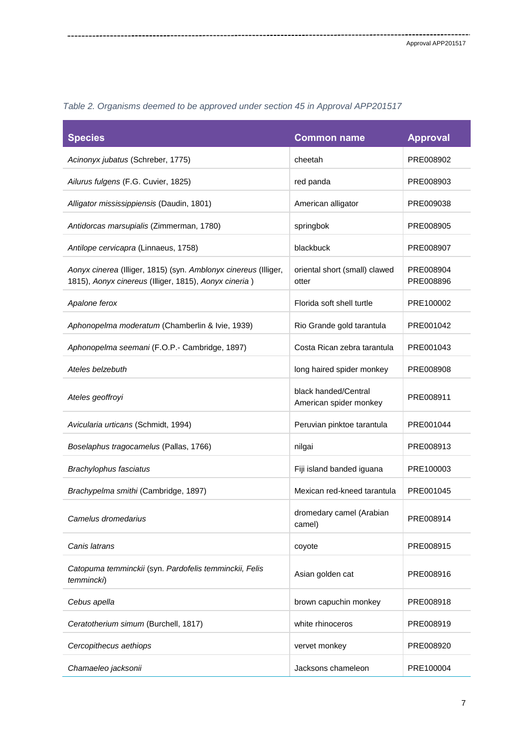| <b>Species</b>                                                                                                           | <b>Common name</b>                             | <b>Approval</b>        |
|--------------------------------------------------------------------------------------------------------------------------|------------------------------------------------|------------------------|
| Acinonyx jubatus (Schreber, 1775)                                                                                        | cheetah                                        | PRE008902              |
| Ailurus fulgens (F.G. Cuvier, 1825)                                                                                      | red panda                                      | PRE008903              |
| Alligator mississippiensis (Daudin, 1801)                                                                                | American alligator                             | PRE009038              |
| Antidorcas marsupialis (Zimmerman, 1780)                                                                                 | springbok                                      | PRE008905              |
| Antilope cervicapra (Linnaeus, 1758)                                                                                     | blackbuck                                      | PRE008907              |
| Aonyx cinerea (Illiger, 1815) (syn. Amblonyx cinereus (Illiger,<br>1815), Aonyx cinereus (Illiger, 1815), Aonyx cineria) | oriental short (small) clawed<br>otter         | PRE008904<br>PRE008896 |
| Apalone ferox                                                                                                            | Florida soft shell turtle                      | PRE100002              |
| Aphonopelma moderatum (Chamberlin & Ivie, 1939)                                                                          | Rio Grande gold tarantula                      | PRE001042              |
| Aphonopelma seemani (F.O.P.- Cambridge, 1897)                                                                            | Costa Rican zebra tarantula                    | PRE001043              |
| Ateles belzebuth                                                                                                         | long haired spider monkey                      | PRE008908              |
| Ateles geoffroyi                                                                                                         | black handed/Central<br>American spider monkey | PRE008911              |
| Avicularia urticans (Schmidt, 1994)                                                                                      | Peruvian pinktoe tarantula                     | PRE001044              |
| Boselaphus tragocamelus (Pallas, 1766)                                                                                   | nilgai                                         | PRE008913              |
| Brachylophus fasciatus                                                                                                   | Fiji island banded iguana                      | PRE100003              |
| Brachypelma smithi (Cambridge, 1897)                                                                                     | Mexican red-kneed tarantula                    | PRE001045              |
| Camelus dromedarius                                                                                                      | dromedary camel (Arabian<br>camel)             | PRE008914              |
| Canis latrans                                                                                                            | coyote                                         | PRE008915              |
| Catopuma temminckii (syn. Pardofelis temminckii, Felis<br>temmincki)                                                     | Asian golden cat                               | PRE008916              |
| Cebus apella                                                                                                             | brown capuchin monkey                          | PRE008918              |
| Ceratotherium simum (Burchell, 1817)                                                                                     | white rhinoceros                               | PRE008919              |
| Cercopithecus aethiops                                                                                                   | vervet monkey                                  | PRE008920              |
| Chamaeleo jacksonii                                                                                                      | Jacksons chameleon                             | PRE100004              |

*Table 2. Organisms deemed to be approved under section 45 in Approval APP201517*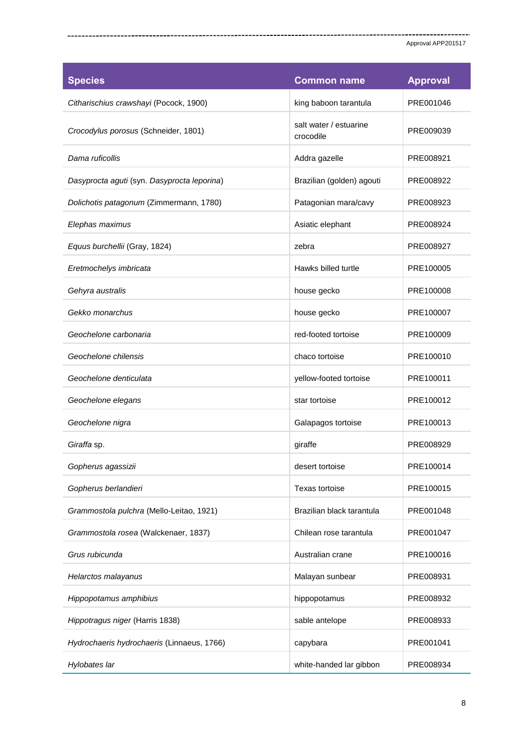| <b>Species</b>                              | <b>Common name</b>                  | <b>Approval</b> |
|---------------------------------------------|-------------------------------------|-----------------|
| Citharischius crawshayi (Pocock, 1900)      | king baboon tarantula               | PRE001046       |
| Crocodylus porosus (Schneider, 1801)        | salt water / estuarine<br>crocodile | PRE009039       |
| Dama ruficollis                             | Addra gazelle                       | PRE008921       |
| Dasyprocta aguti (syn. Dasyprocta leporina) | Brazilian (golden) agouti           | PRE008922       |
| Dolichotis patagonum (Zimmermann, 1780)     | Patagonian mara/cavy                | PRE008923       |
| Elephas maximus                             | Asiatic elephant                    | PRE008924       |
| Equus burchellii (Gray, 1824)               | zebra                               | PRE008927       |
| Eretmochelys imbricata                      | Hawks billed turtle                 | PRE100005       |
| Gehyra australis                            | house gecko                         | PRE100008       |
| Gekko monarchus                             | house gecko                         | PRE100007       |
| Geochelone carbonaria                       | red-footed tortoise                 | PRE100009       |
| Geochelone chilensis                        | chaco tortoise                      | PRE100010       |
| Geochelone denticulata                      | yellow-footed tortoise              | PRE100011       |
| Geochelone elegans                          | star tortoise                       | PRE100012       |
| Geochelone nigra                            | Galapagos tortoise                  | PRE100013       |
| Giraffa sp.                                 | giraffe                             | PRE008929       |
| Gopherus agassizii                          | desert tortoise                     | PRE100014       |
| Gopherus berlandieri                        | Texas tortoise                      | PRE100015       |
| Grammostola pulchra (Mello-Leitao, 1921)    | Brazilian black tarantula           | PRE001048       |
| Grammostola rosea (Walckenaer, 1837)        | Chilean rose tarantula              | PRE001047       |
| Grus rubicunda                              | Australian crane                    | PRE100016       |
| Helarctos malayanus                         | Malayan sunbear                     | PRE008931       |
| Hippopotamus amphibius                      | hippopotamus                        | PRE008932       |
| Hippotragus niger (Harris 1838)             | sable antelope                      | PRE008933       |
| Hydrochaeris hydrochaeris (Linnaeus, 1766)  | capybara                            | PRE001041       |
| Hylobates lar                               | white-handed lar gibbon             | PRE008934       |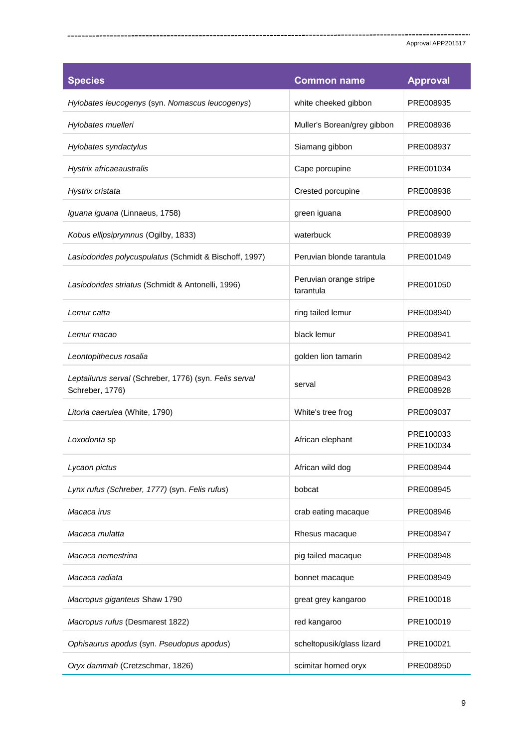| <b>Species</b>                                                            | <b>Common name</b>                  | <b>Approval</b>        |
|---------------------------------------------------------------------------|-------------------------------------|------------------------|
| Hylobates leucogenys (syn. Nomascus leucogenys)                           | white cheeked gibbon                | PRE008935              |
| Hylobates muelleri                                                        | Muller's Borean/grey gibbon         | PRE008936              |
| Hylobates syndactylus                                                     | Siamang gibbon                      | PRE008937              |
| Hystrix africaeaustralis                                                  | Cape porcupine                      | PRE001034              |
| Hystrix cristata                                                          | Crested porcupine                   | PRE008938              |
| Iguana iguana (Linnaeus, 1758)                                            | green iguana                        | PRE008900              |
| Kobus ellipsiprymnus (Ogilby, 1833)                                       | waterbuck                           | PRE008939              |
| Lasiodorides polycuspulatus (Schmidt & Bischoff, 1997)                    | Peruvian blonde tarantula           | PRE001049              |
| Lasiodorides striatus (Schmidt & Antonelli, 1996)                         | Peruvian orange stripe<br>tarantula | PRE001050              |
| Lemur catta                                                               | ring tailed lemur                   | PRE008940              |
| Lemur macao                                                               | black lemur                         | PRE008941              |
| Leontopithecus rosalia                                                    | golden lion tamarin                 | PRE008942              |
| Leptailurus serval (Schreber, 1776) (syn. Felis serval<br>Schreber, 1776) | serval                              | PRE008943<br>PRE008928 |
| Litoria caerulea (White, 1790)                                            | White's tree frog                   | PRE009037              |
| Loxodonta sp                                                              | African elephant                    | PRE100033<br>PRE100034 |
| Lycaon pictus                                                             | African wild dog                    | PRE008944              |
| Lynx rufus (Schreber, 1777) (syn. Felis rufus)                            | bobcat                              | PRE008945              |
| Macaca irus                                                               | crab eating macaque                 | PRE008946              |
| Macaca mulatta                                                            | Rhesus macaque                      | PRE008947              |
| Macaca nemestrina                                                         | pig tailed macaque                  | PRE008948              |
| Macaca radiata                                                            | bonnet macaque                      | PRE008949              |
| Macropus giganteus Shaw 1790                                              | great grey kangaroo                 | PRE100018              |
| Macropus rufus (Desmarest 1822)                                           | red kangaroo                        | PRE100019              |
| Ophisaurus apodus (syn. Pseudopus apodus)                                 | scheltopusik/glass lizard           | PRE100021              |
| Oryx dammah (Cretzschmar, 1826)                                           | scimitar horned oryx                | PRE008950              |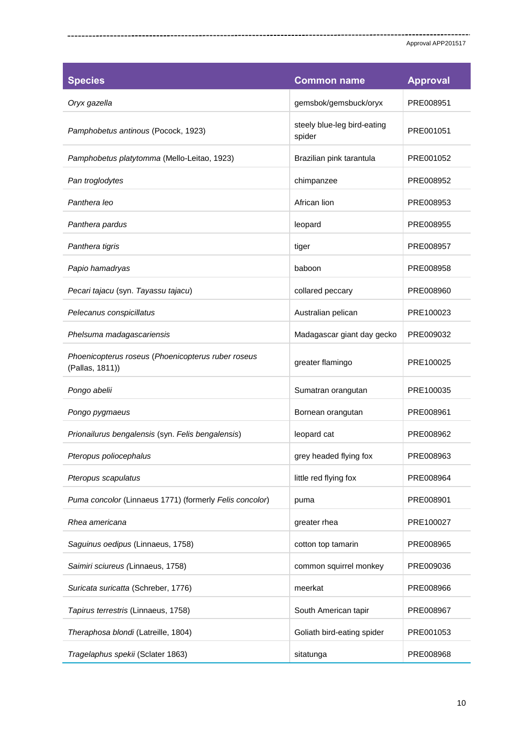| <b>Species</b>                                                        | <b>Common name</b>                    | <b>Approval</b> |
|-----------------------------------------------------------------------|---------------------------------------|-----------------|
| Oryx gazella                                                          | gemsbok/gemsbuck/oryx                 | PRE008951       |
| Pamphobetus antinous (Pocock, 1923)                                   | steely blue-leg bird-eating<br>spider | PRE001051       |
| Pamphobetus platytomma (Mello-Leitao, 1923)                           | Brazilian pink tarantula              | PRE001052       |
| Pan troglodytes                                                       | chimpanzee                            | PRE008952       |
| Panthera leo                                                          | African lion                          | PRE008953       |
| Panthera pardus                                                       | leopard                               | PRE008955       |
| Panthera tigris                                                       | tiger                                 | PRE008957       |
| Papio hamadryas                                                       | baboon                                | PRE008958       |
| Pecari tajacu (syn. Tayassu tajacu)                                   | collared peccary                      | PRE008960       |
| Pelecanus conspicillatus                                              | Australian pelican                    | PRE100023       |
| Phelsuma madagascariensis                                             | Madagascar giant day gecko            | PRE009032       |
| Phoenicopterus roseus (Phoenicopterus ruber roseus<br>(Pallas, 1811)) | greater flamingo                      | PRE100025       |
| Pongo abelii                                                          | Sumatran orangutan                    | PRE100035       |
| Pongo pygmaeus                                                        | Bornean orangutan                     | PRE008961       |
| Prionailurus bengalensis (syn. Felis bengalensis)                     | leopard cat                           | PRE008962       |
| Pteropus poliocephalus                                                | grey headed flying fox                | PRE008963       |
| Pteropus scapulatus                                                   | little red flying fox                 | PRE008964       |
| Puma concolor (Linnaeus 1771) (formerly Felis concolor)               | puma                                  | PRE008901       |
| Rhea americana                                                        | greater rhea                          | PRE100027       |
| Saguinus oedipus (Linnaeus, 1758)                                     | cotton top tamarin                    | PRE008965       |
| Saimiri sciureus (Linnaeus, 1758)                                     | common squirrel monkey                | PRE009036       |
| Suricata suricatta (Schreber, 1776)                                   | meerkat                               | PRE008966       |
| Tapirus terrestris (Linnaeus, 1758)                                   | South American tapir                  | PRE008967       |
| Theraphosa blondi (Latreille, 1804)                                   | Goliath bird-eating spider            | PRE001053       |
| Tragelaphus spekii (Sclater 1863)                                     | sitatunga                             | PRE008968       |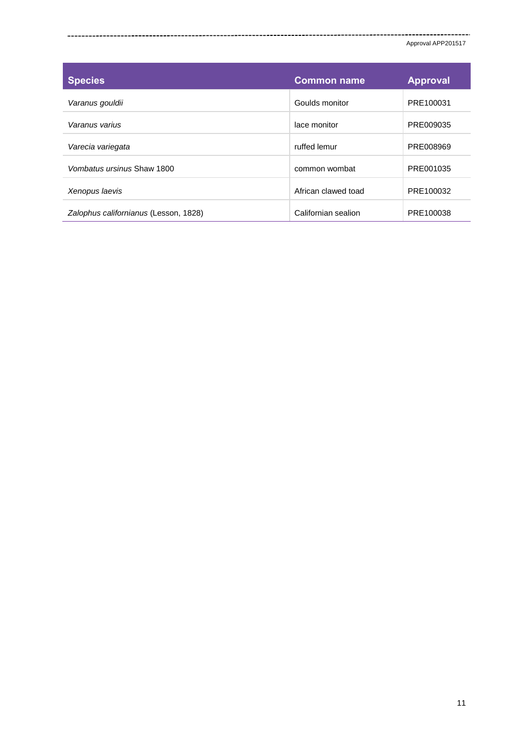| <b>Species</b>                        | <b>Common name</b>  | <b>Approval</b> |
|---------------------------------------|---------------------|-----------------|
| Varanus gouldii                       | Goulds monitor      | PRE100031       |
| Varanus varius                        | lace monitor        | PRE009035       |
| Varecia variegata                     | ruffed lemur        | PRE008969       |
| Vombatus ursinus Shaw 1800            | common wombat       | PRE001035       |
| Xenopus laevis                        | African clawed toad | PRE100032       |
| Zalophus californianus (Lesson, 1828) | Californian sealion | PRE100038       |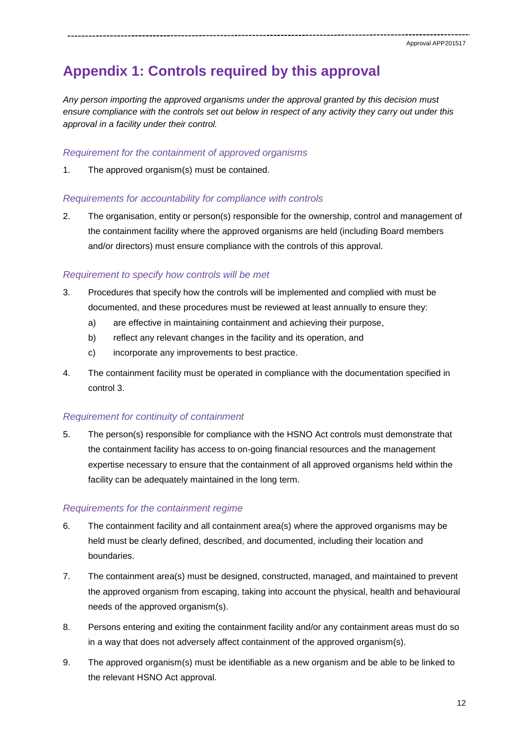## **Appendix 1: Controls required by this approval**

*Any person importing the approved organisms under the approval granted by this decision must ensure compliance with the controls set out below in respect of any activity they carry out under this approval in a facility under their control.*

#### *Requirement for the containment of approved organisms*

1. The approved organism(s) must be contained.

### *Requirements for accountability for compliance with controls*

2. The organisation, entity or person(s) responsible for the ownership, control and management of the containment facility where the approved organisms are held (including Board members and/or directors) must ensure compliance with the controls of this approval.

## *Requirement to specify how controls will be met*

- 3. Procedures that specify how the controls will be implemented and complied with must be documented, and these procedures must be reviewed at least annually to ensure they:
	- a) are effective in maintaining containment and achieving their purpose,
	- b) reflect any relevant changes in the facility and its operation, and
	- c) incorporate any improvements to best practice.
- 4. The containment facility must be operated in compliance with the documentation specified in control 3.

## *Requirement for continuity of containment*

5. The person(s) responsible for compliance with the HSNO Act controls must demonstrate that the containment facility has access to on-going financial resources and the management expertise necessary to ensure that the containment of all approved organisms held within the facility can be adequately maintained in the long term.

## *Requirements for the containment regime*

- 6. The containment facility and all containment area(s) where the approved organisms may be held must be clearly defined, described, and documented, including their location and boundaries.
- 7. The containment area(s) must be designed, constructed, managed, and maintained to prevent the approved organism from escaping, taking into account the physical, health and behavioural needs of the approved organism(s).
- 8. Persons entering and exiting the containment facility and/or any containment areas must do so in a way that does not adversely affect containment of the approved organism(s).
- 9. The approved organism(s) must be identifiable as a new organism and be able to be linked to the relevant HSNO Act approval.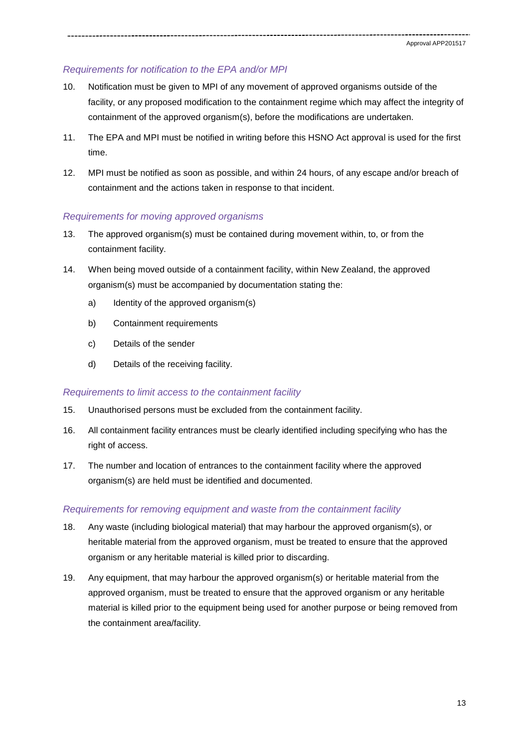## *Requirements for notification to the EPA and/or MPI*

- 10. Notification must be given to MPI of any movement of approved organisms outside of the facility, or any proposed modification to the containment regime which may affect the integrity of containment of the approved organism(s), before the modifications are undertaken.
- 11. The EPA and MPI must be notified in writing before this HSNO Act approval is used for the first time.
- 12. MPI must be notified as soon as possible, and within 24 hours, of any escape and/or breach of containment and the actions taken in response to that incident.

#### *Requirements for moving approved organisms*

- 13. The approved organism(s) must be contained during movement within, to, or from the containment facility.
- 14. When being moved outside of a containment facility, within New Zealand, the approved organism(s) must be accompanied by documentation stating the:
	- a) Identity of the approved organism(s)
	- b) Containment requirements
	- c) Details of the sender
	- d) Details of the receiving facility.

#### *Requirements to limit access to the containment facility*

- 15. Unauthorised persons must be excluded from the containment facility.
- 16. All containment facility entrances must be clearly identified including specifying who has the right of access.
- 17. The number and location of entrances to the containment facility where the approved organism(s) are held must be identified and documented.

#### *Requirements for removing equipment and waste from the containment facility*

- 18. Any waste (including biological material) that may harbour the approved organism(s), or heritable material from the approved organism, must be treated to ensure that the approved organism or any heritable material is killed prior to discarding.
- 19. Any equipment, that may harbour the approved organism(s) or heritable material from the approved organism, must be treated to ensure that the approved organism or any heritable material is killed prior to the equipment being used for another purpose or being removed from the containment area/facility.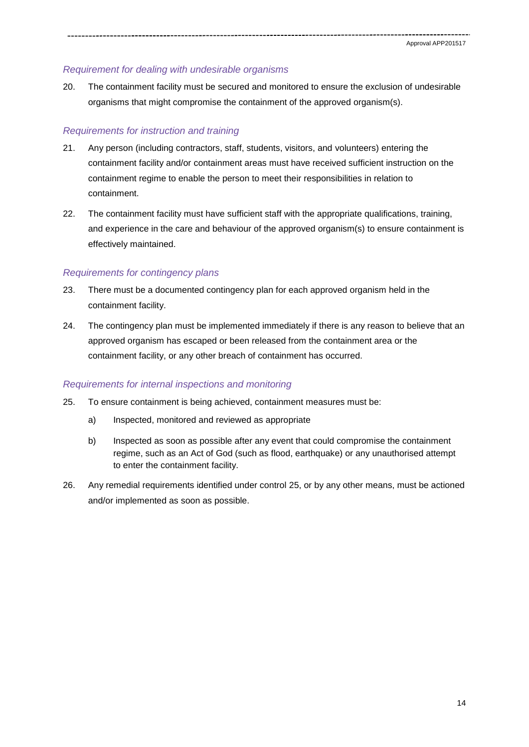#### *Requirement for dealing with undesirable organisms*

20. The containment facility must be secured and monitored to ensure the exclusion of undesirable organisms that might compromise the containment of the approved organism(s).

#### *Requirements for instruction and training*

- 21. Any person (including contractors, staff, students, visitors, and volunteers) entering the containment facility and/or containment areas must have received sufficient instruction on the containment regime to enable the person to meet their responsibilities in relation to containment.
- 22. The containment facility must have sufficient staff with the appropriate qualifications, training, and experience in the care and behaviour of the approved organism(s) to ensure containment is effectively maintained.

### *Requirements for contingency plans*

- 23. There must be a documented contingency plan for each approved organism held in the containment facility.
- 24. The contingency plan must be implemented immediately if there is any reason to believe that an approved organism has escaped or been released from the containment area or the containment facility, or any other breach of containment has occurred.

## *Requirements for internal inspections and monitoring*

- 25. To ensure containment is being achieved, containment measures must be:
	- a) Inspected, monitored and reviewed as appropriate
	- b) Inspected as soon as possible after any event that could compromise the containment regime, such as an Act of God (such as flood, earthquake) or any unauthorised attempt to enter the containment facility.
- 26. Any remedial requirements identified under control 25, or by any other means, must be actioned and/or implemented as soon as possible.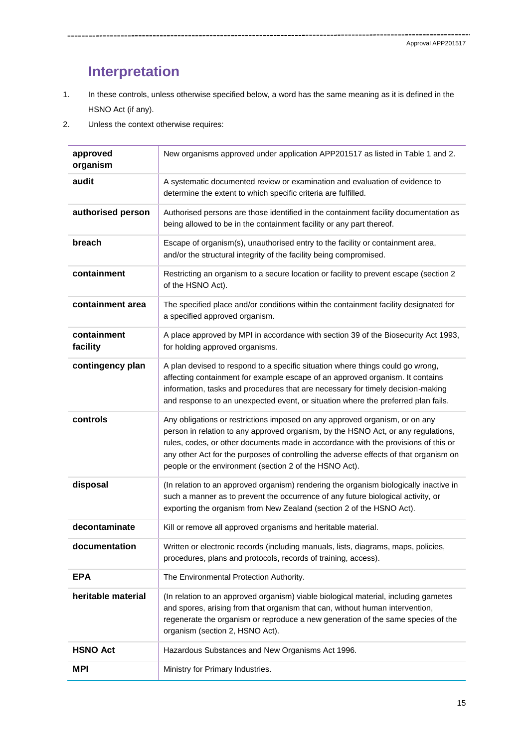.<br>...

## **Interpretation**

1. In these controls, unless otherwise specified below, a word has the same meaning as it is defined in the HSNO Act (if any).

2. Unless the context otherwise requires:

| approved<br>organism    | New organisms approved under application APP201517 as listed in Table 1 and 2.                                                                                                                                                                                                                                                                                                                            |
|-------------------------|-----------------------------------------------------------------------------------------------------------------------------------------------------------------------------------------------------------------------------------------------------------------------------------------------------------------------------------------------------------------------------------------------------------|
| audit                   | A systematic documented review or examination and evaluation of evidence to<br>determine the extent to which specific criteria are fulfilled.                                                                                                                                                                                                                                                             |
| authorised person       | Authorised persons are those identified in the containment facility documentation as<br>being allowed to be in the containment facility or any part thereof.                                                                                                                                                                                                                                              |
| breach                  | Escape of organism(s), unauthorised entry to the facility or containment area,<br>and/or the structural integrity of the facility being compromised.                                                                                                                                                                                                                                                      |
| containment             | Restricting an organism to a secure location or facility to prevent escape (section 2)<br>of the HSNO Act).                                                                                                                                                                                                                                                                                               |
| containment area        | The specified place and/or conditions within the containment facility designated for<br>a specified approved organism.                                                                                                                                                                                                                                                                                    |
| containment<br>facility | A place approved by MPI in accordance with section 39 of the Biosecurity Act 1993,<br>for holding approved organisms.                                                                                                                                                                                                                                                                                     |
| contingency plan        | A plan devised to respond to a specific situation where things could go wrong,<br>affecting containment for example escape of an approved organism. It contains<br>information, tasks and procedures that are necessary for timely decision-making<br>and response to an unexpected event, or situation where the preferred plan fails.                                                                   |
| controls                | Any obligations or restrictions imposed on any approved organism, or on any<br>person in relation to any approved organism, by the HSNO Act, or any regulations,<br>rules, codes, or other documents made in accordance with the provisions of this or<br>any other Act for the purposes of controlling the adverse effects of that organism on<br>people or the environment (section 2 of the HSNO Act). |
| disposal                | (In relation to an approved organism) rendering the organism biologically inactive in<br>such a manner as to prevent the occurrence of any future biological activity, or<br>exporting the organism from New Zealand (section 2 of the HSNO Act).                                                                                                                                                         |
| decontaminate           | Kill or remove all approved organisms and heritable material.                                                                                                                                                                                                                                                                                                                                             |
| documentation           | Written or electronic records (including manuals, lists, diagrams, maps, policies,<br>procedures, plans and protocols, records of training, access).                                                                                                                                                                                                                                                      |
| <b>EPA</b>              | The Environmental Protection Authority.                                                                                                                                                                                                                                                                                                                                                                   |
| heritable material      | (In relation to an approved organism) viable biological material, including gametes<br>and spores, arising from that organism that can, without human intervention,<br>regenerate the organism or reproduce a new generation of the same species of the<br>organism (section 2, HSNO Act).                                                                                                                |
| <b>HSNO Act</b>         | Hazardous Substances and New Organisms Act 1996.                                                                                                                                                                                                                                                                                                                                                          |
| <b>MPI</b>              | Ministry for Primary Industries.                                                                                                                                                                                                                                                                                                                                                                          |